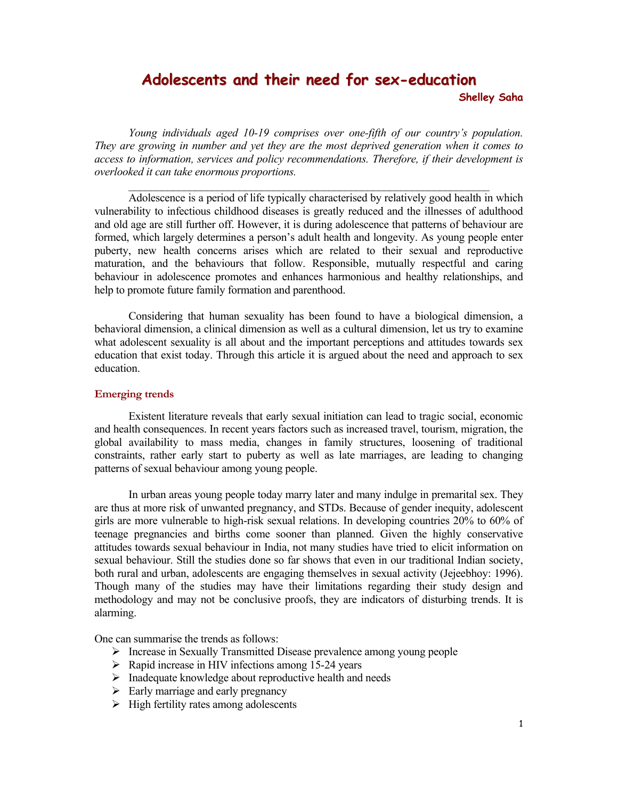# **Adolescents and their need for sex-education Shelley Saha**

*Young individuals aged 10-19 comprises over one-fifth of our country's population. They are growing in number and yet they are the most deprived generation when it comes to access to information, services and policy recommendations. Therefore, if their development is overlooked it can take enormous proportions.* 

 $\mathcal{L}_\text{max} = \frac{1}{2} \sum_{i=1}^n \mathcal{L}_\text{max}(\mathbf{z}_i - \mathbf{z}_i)$ 

Adolescence is a period of life typically characterised by relatively good health in which vulnerability to infectious childhood diseases is greatly reduced and the illnesses of adulthood and old age are still further off. However, it is during adolescence that patterns of behaviour are formed, which largely determines a person's adult health and longevity. As young people enter puberty, new health concerns arises which are related to their sexual and reproductive maturation, and the behaviours that follow. Responsible, mutually respectful and caring behaviour in adolescence promotes and enhances harmonious and healthy relationships, and help to promote future family formation and parenthood.

 Considering that human sexuality has been found to have a biological dimension, a behavioral dimension, a clinical dimension as well as a cultural dimension, let us try to examine what adolescent sexuality is all about and the important perceptions and attitudes towards sex education that exist today. Through this article it is argued about the need and approach to sex education.

# **Emerging trends**

 Existent literature reveals that early sexual initiation can lead to tragic social, economic and health consequences. In recent years factors such as increased travel, tourism, migration, the global availability to mass media, changes in family structures, loosening of traditional constraints, rather early start to puberty as well as late marriages, are leading to changing patterns of sexual behaviour among young people.

In urban areas young people today marry later and many indulge in premarital sex. They are thus at more risk of unwanted pregnancy, and STDs. Because of gender inequity, adolescent girls are more vulnerable to high-risk sexual relations. In developing countries 20% to 60% of teenage pregnancies and births come sooner than planned. Given the highly conservative attitudes towards sexual behaviour in India, not many studies have tried to elicit information on sexual behaviour. Still the studies done so far shows that even in our traditional Indian society, both rural and urban, adolescents are engaging themselves in sexual activity (Jejeebhoy: 1996). Though many of the studies may have their limitations regarding their study design and methodology and may not be conclusive proofs, they are indicators of disturbing trends. It is alarming.

One can summarise the trends as follows:

- ¾ Increase in Sexually Transmitted Disease prevalence among young people
- $\triangleright$  Rapid increase in HIV infections among 15-24 years
- $\triangleright$  Inadequate knowledge about reproductive health and needs
- $\triangleright$  Early marriage and early pregnancy
- $\triangleright$  High fertility rates among adolescents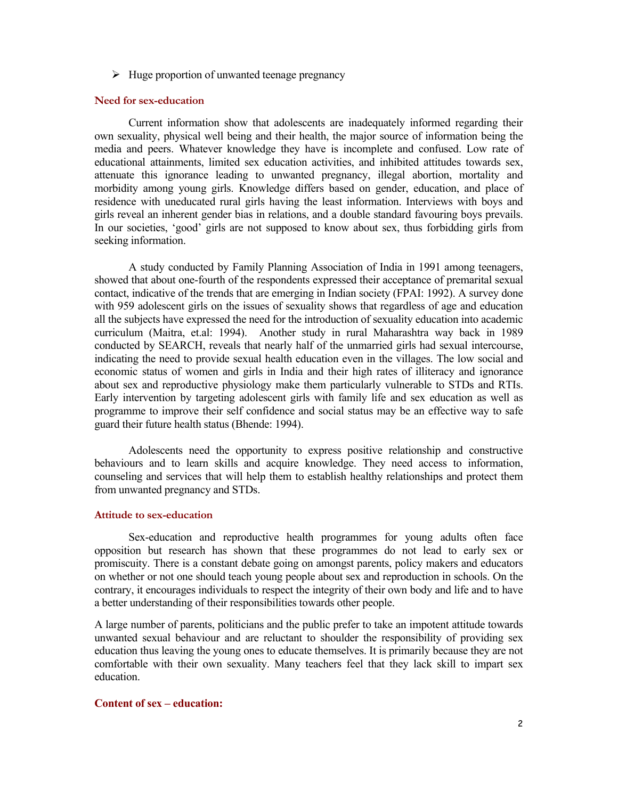$\triangleright$  Huge proportion of unwanted teenage pregnancy

## **Need for sex-education**

 Current information show that adolescents are inadequately informed regarding their own sexuality, physical well being and their health, the major source of information being the media and peers. Whatever knowledge they have is incomplete and confused. Low rate of educational attainments, limited sex education activities, and inhibited attitudes towards sex, attenuate this ignorance leading to unwanted pregnancy, illegal abortion, mortality and morbidity among young girls. Knowledge differs based on gender, education, and place of residence with uneducated rural girls having the least information. Interviews with boys and girls reveal an inherent gender bias in relations, and a double standard favouring boys prevails. In our societies, 'good' girls are not supposed to know about sex, thus forbidding girls from seeking information.

 A study conducted by Family Planning Association of India in 1991 among teenagers, showed that about one-fourth of the respondents expressed their acceptance of premarital sexual contact, indicative of the trends that are emerging in Indian society (FPAI: 1992). A survey done with 959 adolescent girls on the issues of sexuality shows that regardless of age and education all the subjects have expressed the need for the introduction of sexuality education into academic curriculum (Maitra, et.al: 1994). Another study in rural Maharashtra way back in 1989 conducted by SEARCH, reveals that nearly half of the unmarried girls had sexual intercourse, indicating the need to provide sexual health education even in the villages. The low social and economic status of women and girls in India and their high rates of illiteracy and ignorance about sex and reproductive physiology make them particularly vulnerable to STDs and RTIs. Early intervention by targeting adolescent girls with family life and sex education as well as programme to improve their self confidence and social status may be an effective way to safe guard their future health status (Bhende: 1994).

 Adolescents need the opportunity to express positive relationship and constructive behaviours and to learn skills and acquire knowledge. They need access to information, counseling and services that will help them to establish healthy relationships and protect them from unwanted pregnancy and STDs.

## **Attitude to sex-education**

 Sex-education and reproductive health programmes for young adults often face opposition but research has shown that these programmes do not lead to early sex or promiscuity. There is a constant debate going on amongst parents, policy makers and educators on whether or not one should teach young people about sex and reproduction in schools. On the contrary, it encourages individuals to respect the integrity of their own body and life and to have a better understanding of their responsibilities towards other people.

A large number of parents, politicians and the public prefer to take an impotent attitude towards unwanted sexual behaviour and are reluctant to shoulder the responsibility of providing sex education thus leaving the young ones to educate themselves. It is primarily because they are not comfortable with their own sexuality. Many teachers feel that they lack skill to impart sex education.

## **Content of sex – education:**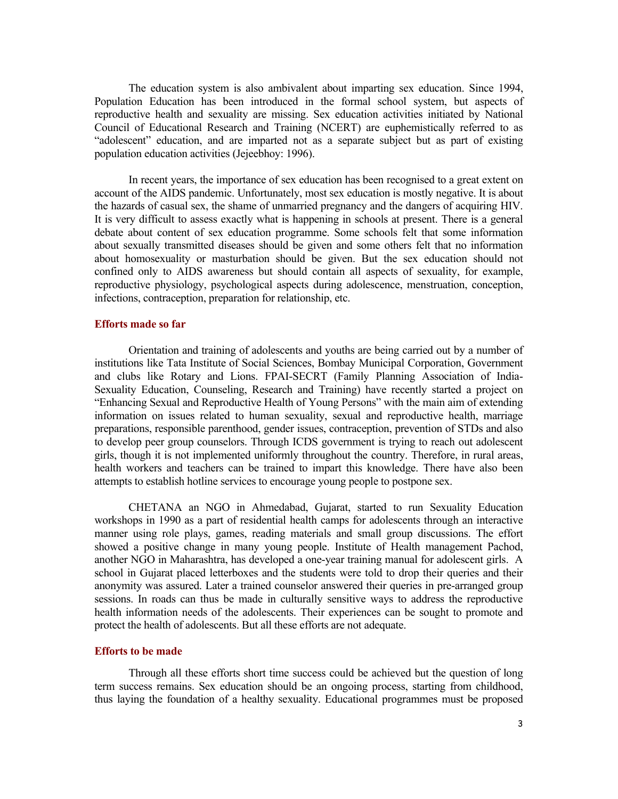The education system is also ambivalent about imparting sex education. Since 1994, Population Education has been introduced in the formal school system, but aspects of reproductive health and sexuality are missing. Sex education activities initiated by National Council of Educational Research and Training (NCERT) are euphemistically referred to as "adolescent" education, and are imparted not as a separate subject but as part of existing population education activities (Jejeebhoy: 1996).

 In recent years, the importance of sex education has been recognised to a great extent on account of the AIDS pandemic. Unfortunately, most sex education is mostly negative. It is about the hazards of casual sex, the shame of unmarried pregnancy and the dangers of acquiring HIV. It is very difficult to assess exactly what is happening in schools at present. There is a general debate about content of sex education programme. Some schools felt that some information about sexually transmitted diseases should be given and some others felt that no information about homosexuality or masturbation should be given. But the sex education should not confined only to AIDS awareness but should contain all aspects of sexuality, for example, reproductive physiology, psychological aspects during adolescence, menstruation, conception, infections, contraception, preparation for relationship, etc.

#### **Efforts made so far**

Orientation and training of adolescents and youths are being carried out by a number of institutions like Tata Institute of Social Sciences, Bombay Municipal Corporation, Government and clubs like Rotary and Lions. FPAI-SECRT (Family Planning Association of India-Sexuality Education, Counseling, Research and Training) have recently started a project on "Enhancing Sexual and Reproductive Health of Young Persons" with the main aim of extending information on issues related to human sexuality, sexual and reproductive health, marriage preparations, responsible parenthood, gender issues, contraception, prevention of STDs and also to develop peer group counselors. Through ICDS government is trying to reach out adolescent girls, though it is not implemented uniformly throughout the country. Therefore, in rural areas, health workers and teachers can be trained to impart this knowledge. There have also been attempts to establish hotline services to encourage young people to postpone sex.

 CHETANA an NGO in Ahmedabad, Gujarat, started to run Sexuality Education workshops in 1990 as a part of residential health camps for adolescents through an interactive manner using role plays, games, reading materials and small group discussions. The effort showed a positive change in many young people. Institute of Health management Pachod, another NGO in Maharashtra, has developed a one-year training manual for adolescent girls. A school in Gujarat placed letterboxes and the students were told to drop their queries and their anonymity was assured. Later a trained counselor answered their queries in pre-arranged group sessions. In roads can thus be made in culturally sensitive ways to address the reproductive health information needs of the adolescents. Their experiences can be sought to promote and protect the health of adolescents. But all these efforts are not adequate.

### **Efforts to be made**

 Through all these efforts short time success could be achieved but the question of long term success remains. Sex education should be an ongoing process, starting from childhood, thus laying the foundation of a healthy sexuality. Educational programmes must be proposed